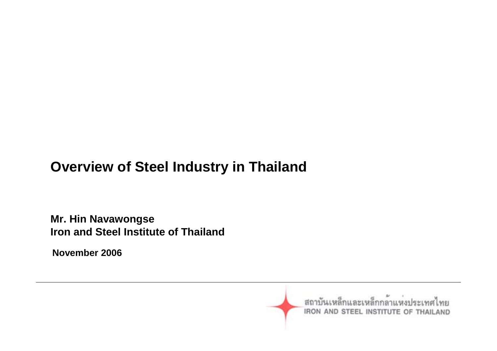## **Overview of Steel Industry in Thailand**

**Mr. Hin Navawongse Iron and Steel Institute of Thailand**

**November 2006**

สถาบันเหล็กและเหล็กกล้าแห่งประเทศไทย IRON AND STEEL INSTITUTE OF THAILAND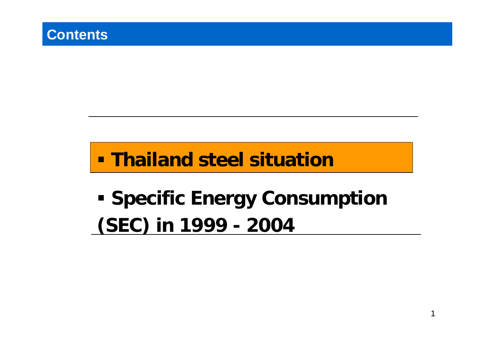# **Thailand steel situation**

# **- Specific Energy Consumption (SEC) in 1999 - 2004**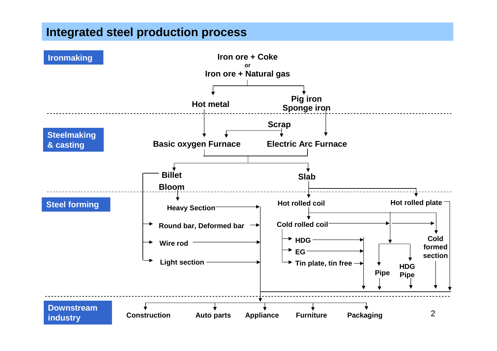#### **Integrated steel production process**

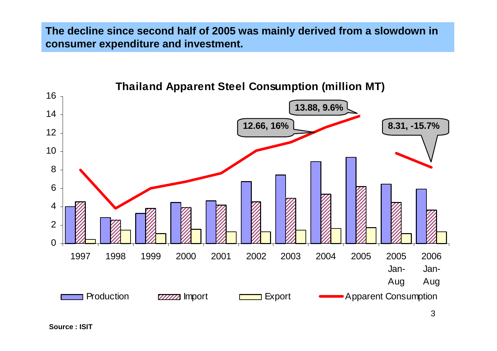**The decline since second half of 2005 was mainly derived from a slowdown in consumer expenditure and investment.**

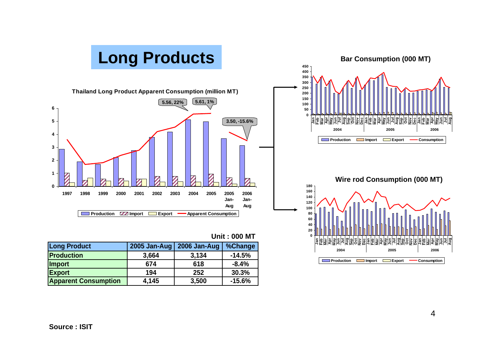

| <b>Long Product</b>         | 2005 Jan-Aug | 2006 Jan-Aug | %Change  |
|-----------------------------|--------------|--------------|----------|
| <b>Production</b>           | 3,664        | 3,134        | $-14.5%$ |
| <b>Import</b>               | 674          | 618          | $-8.4%$  |
| <b>Export</b>               | 194          | 252          | 30.3%    |
| <b>Apparent Consumption</b> | 4,145        | 3,500        | $-15.6%$ |

**Production Import Export Consumption**

**Aug**

**Aug**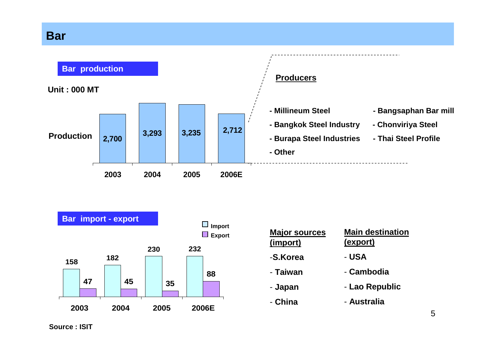#### **Bar**





| <b>Major sources</b><br>(import) | <b>Main destination</b><br>(export) |
|----------------------------------|-------------------------------------|
| -S.Korea                         | - USA                               |
| - Taiwan                         | - Cambodia                          |
| - Japan                          | - Lao Republic                      |
| - China                          | - Australia                         |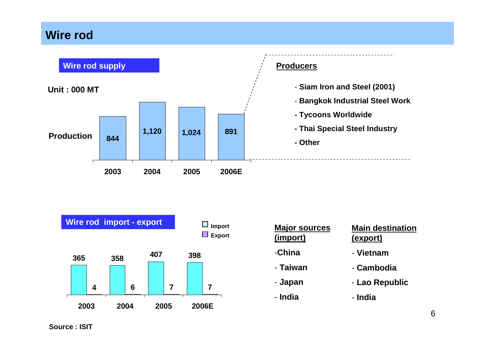#### **Wire rod**



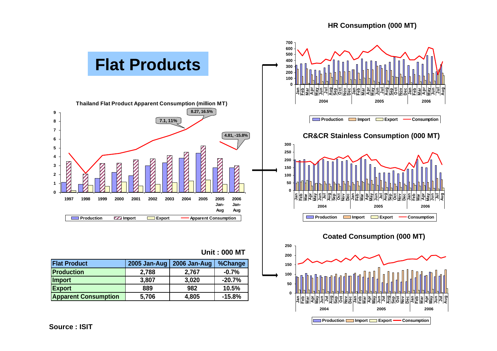#### **HR Sheet consumption (000 MT) HR Consumption (000 MT)**

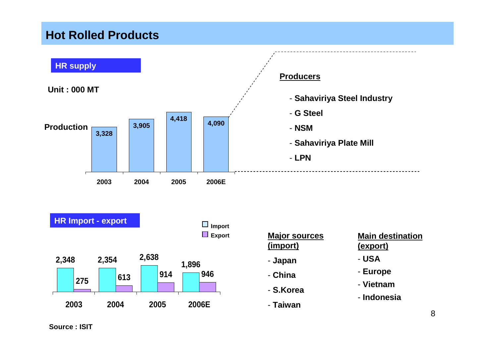#### **Hot Rolled Products**

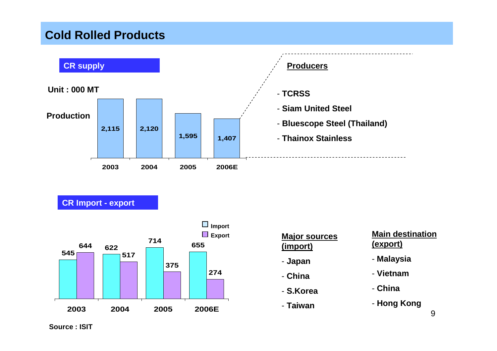#### **Cold Rolled Products**



**CR Import - export**



|          | <b>Major sources</b> |
|----------|----------------------|
| (import) |                      |

- **Japan**
- **China**
- **S.Korea**
- **Taiwan**

#### **Main destination (export)**

- **Malaysia**
- **Vietnam**
- **China**
- **Hong Kong**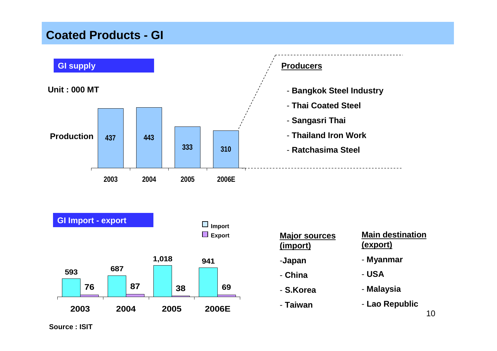#### **Coated Products - GI**

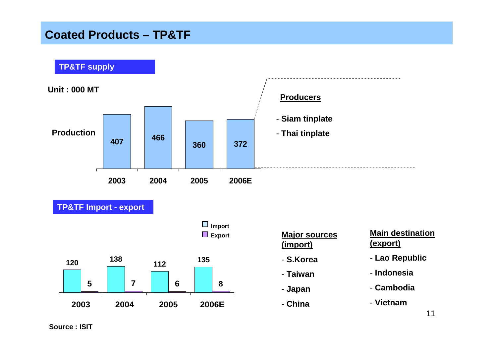#### **Coated Products – TP&TF**

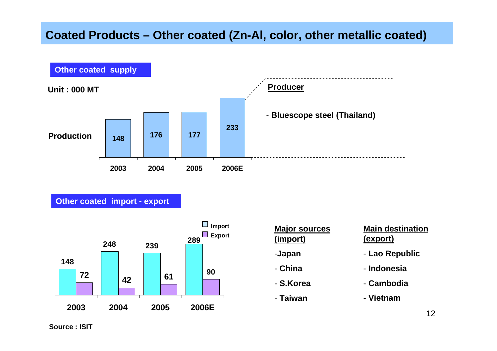

#### **Other coated import - export**



| <b>Major sources</b> |
|----------------------|
| (import)             |
| -Japan               |
| - China              |
| - S.Korea            |

- **Taiwan**

#### **Main destination (export)**

- **Lao Republic**
- **Indonesia**
- **Cambodia**
- **Vietnam**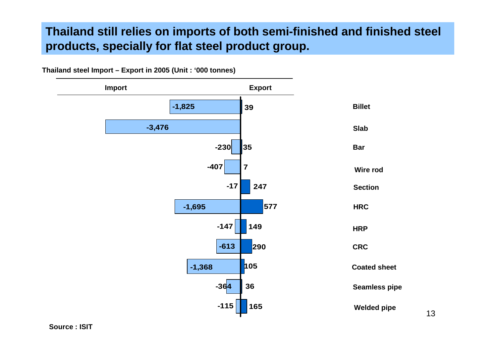#### **Thailand still relies on imports of both semi-finished and finished steel products, specially for flat steel product group.**

**Thailand steel Import – Export in 2005 (Unit : '000 tonnes)**

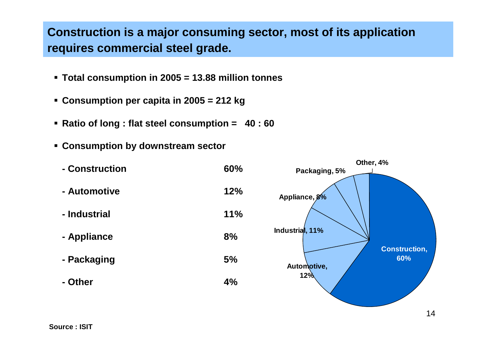#### **Construction is a major consuming sector, most of its application requires commercial steel grade.**

- **Total consumption in 2005 = 13.88 million tonnes**
- **Consumption per capita in 2005 = 212 kg**
- **Ratio of long : flat steel consumption = 40 : 60**
- **Consumption by downstream sector**

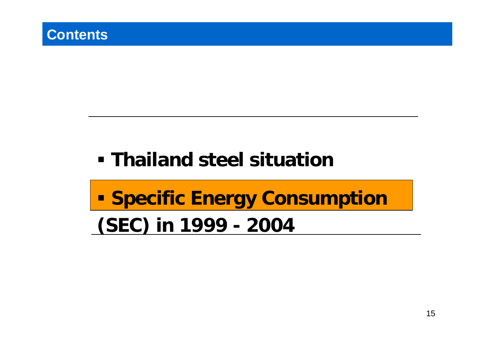# **Thailand steel situation**

# **Specific Energy Consumption (SEC) in 1999 - 2004**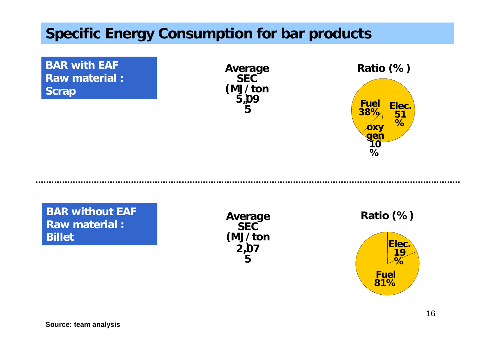## **Specific Energy Consumption for bar products**

**BAR with EAF Raw material : Scrap**

**5,09 ) 5Average SEC (MJ/ton**



**BAR without EAF Raw material : Billet**

**2,07 ) 5Average SEC (MJ/ton**

**Ratio (%)**

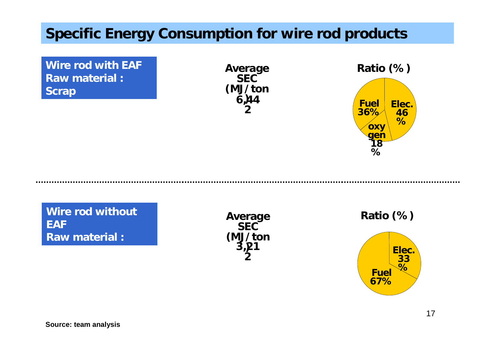## **Specific Energy Consumption for wire rod products**

**Wire rod with EAF Raw material : Scrap**

**6,44 ) 2(MJ/ton**



**Wire rod without EAF Raw material :** 

**3,21 )**  $\mathbf{z}$ **Average SEC (MJ/ton**

**Ratio (%)**

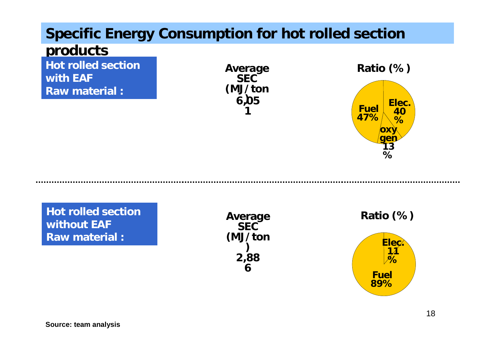# **Specific Energy Consumption for hot rolled section**

#### **products**

**Hot rolled section with EAF**

**Raw material :** 

**6,05 ) 1SEC (MJ/ton**



**Hot rolled section without EAFRaw material :** 

**2,88 6Average SEC (MJ/ton )**

**Elec. 11 %Fuel 89%Ratio (%)**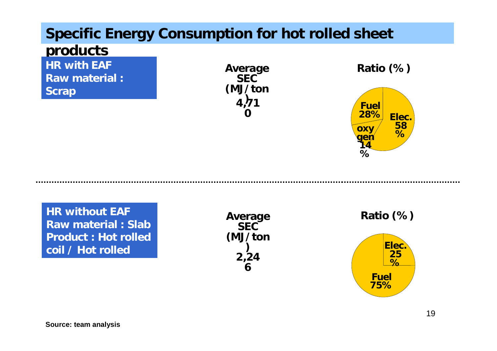## **Specific Energy Consumption for hot rolled sheet**

### **products**

**HR with EAF**

- **Raw material :**
- **Scrap**

**4,71 ) 0SEC (MJ/ton**



**HR without EAF Raw material : SlabProduct : Hot rolled coil / Hot rolled** 

**2,24 6Average SEC (MJ/ton )**

**Ratio (%)**

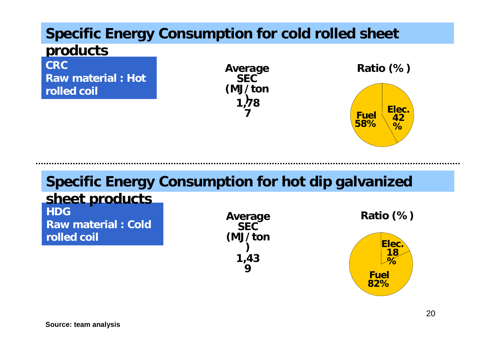# **Specific Energy Consumption for cold rolled sheet**

#### **products**

**CRCRaw material : Hot rolled coil**

**1,78 ) 7(MJ/ton**



**82%**

# **Specific Energy Consumption for hot dip galvanized**

#### **HDGRaw material : Cold rolled coil sheet products 1,43 9Elec. 18 %Fuel Average SEC(MJ/ton ) Ratio (%)**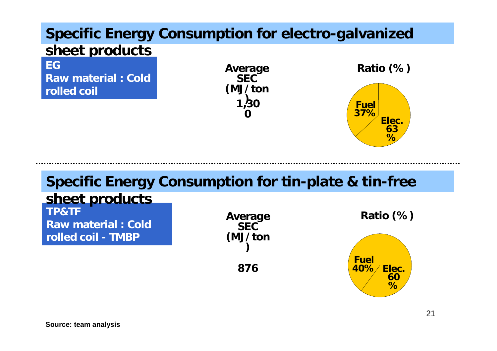### **Specific Energy Consumption for electro-galvanized sheet products**

**EGRaw material : Cold rolled coil**

**1,30 ) 0(MJ/ton**



# **Specific Energy Consumption for tin-plate & tin-free**

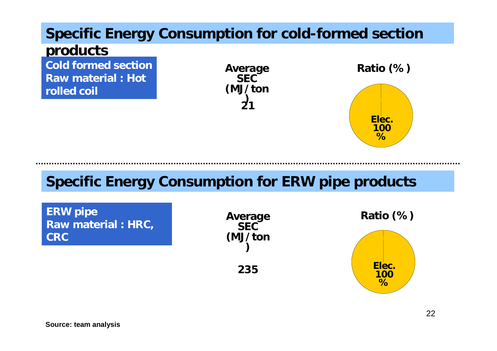# **Specific Energy Consumption for cold-formed section**

#### **products**

**Cold formed section Raw material : Hot rolled coil**

**21) (MJ/ton**



## **Specific Energy Consumption for ERW pipe products**

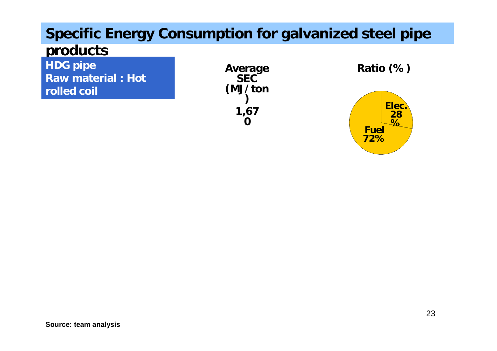# **Specific Energy Consumption for galvanized steel pipe**

### **products**

- **HDG pipe**
- **Raw material : Hot**
- **rolled coil**

**galvanized steel pipe 1,67 0(MJ/ton )**

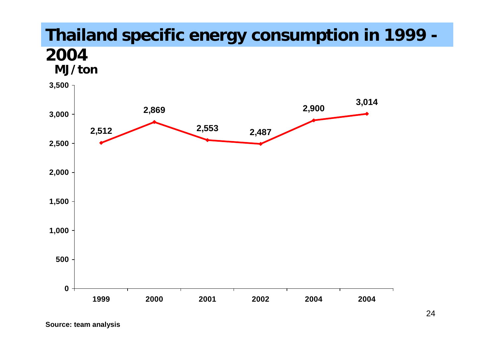# **Thailand specific energy consumption in 1999 -**

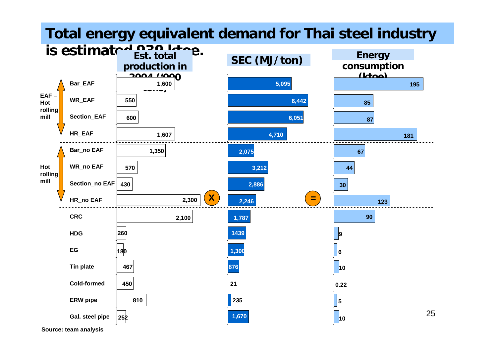#### **Total energy equivalent demand for Thai steel industry**

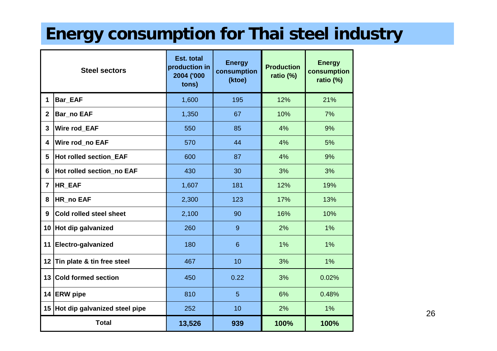# **Energy consumption for Thai steel industry**

|   | <b>Steel sectors</b>            | Est. total<br>production in<br>2004 ('000<br>tons) | <b>Energy</b><br>consumption<br>(ktoe) | <b>Production</b><br>ratio (%) | <b>Energy</b><br>consumption<br>ratio (%) |
|---|---------------------------------|----------------------------------------------------|----------------------------------------|--------------------------------|-------------------------------------------|
|   | <b>Bar_EAF</b>                  | 1,600                                              | 195                                    | 12%                            | 21%                                       |
|   | <b>Bar_no EAF</b>               | 1,350                                              | 67                                     | 10%                            | 7%                                        |
|   | <b>Wire rod EAF</b>             | 550                                                | 85                                     | 4%                             | 9%                                        |
|   | Wire rod no EAF                 | 570                                                | 44                                     | 4%                             | 5%                                        |
|   | <b>Hot rolled section EAF</b>   | 600                                                | 87                                     | 4%                             | 9%                                        |
|   | Hot rolled section_no EAF       | 430                                                | 30                                     | 3%                             | 3%                                        |
|   | HR_EAF                          | 1,607                                              | 181                                    | 12%                            | 19%                                       |
|   | HR_no EAF                       | 2,300                                              | 123                                    | 17%                            | 13%                                       |
|   | Cold rolled steel sheet         | 2,100                                              | 90                                     | 16%                            | 10%                                       |
| 0 | Hot dip galvanized              | 260                                                | 9                                      | 2%                             | 1%                                        |
|   | 1 Electro-galvanized            | 180                                                | 6                                      | 1%                             | 1%                                        |
|   | 2 Tin plate & tin free steel    | 467                                                | 10                                     | 3%                             | 1%                                        |
| 3 | <b>Cold formed section</b>      | 450                                                | 0.22                                   | 3%                             | 0.02%                                     |
|   | 4 ERW pipe                      | 810                                                | 5                                      | 6%                             | 0.48%                                     |
|   | 5 Hot dip galvanized steel pipe | 252                                                | 10                                     | 2%                             | 1%                                        |
|   | <b>Total</b>                    | 13.526                                             | 939                                    | 100%                           | 100%                                      |